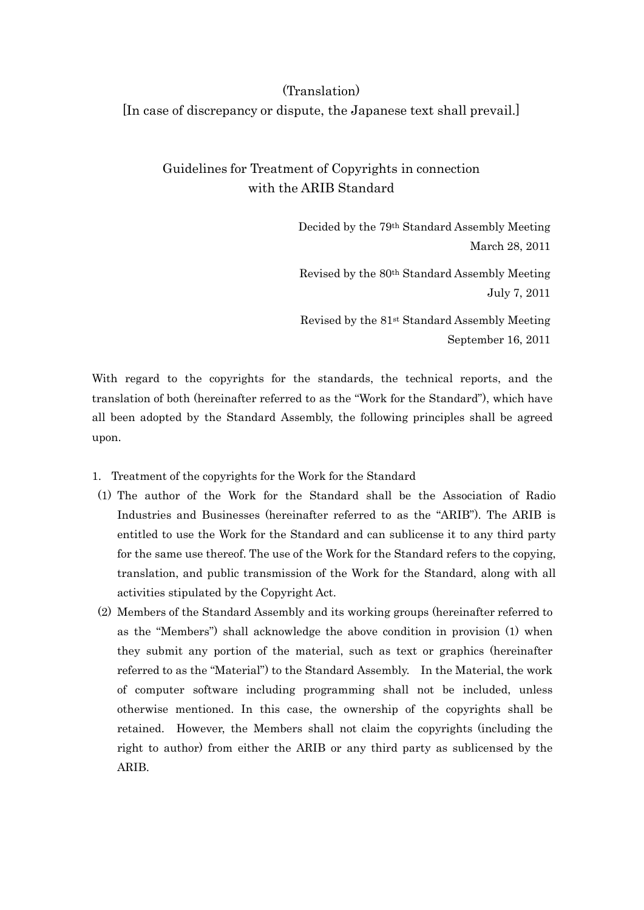## (Translation) [In case of discrepancy or dispute, the Japanese text shall prevail.]

## Guidelines for Treatment of Copyrights in connection with the ARIB Standard

Decided by the 79th Standard Assembly Meeting March 28, 2011

Revised by the 80th Standard Assembly Meeting July 7, 2011

Revised by the 81st Standard Assembly Meeting September 16, 2011

With regard to the copyrights for the standards, the technical reports, and the translation of both (hereinafter referred to as the "Work for the Standard"), which have all been adopted by the Standard Assembly, the following principles shall be agreed upon.

- 1. Treatment of the copyrights for the Work for the Standard
- (1) The author of the Work for the Standard shall be the Association of Radio Industries and Businesses (hereinafter referred to as the "ARIB"). The ARIB is entitled to use the Work for the Standard and can sublicense it to any third party for the same use thereof. The use of the Work for the Standard refers to the copying, translation, and public transmission of the Work for the Standard, along with all activities stipulated by the Copyright Act.
- (2) Members of the Standard Assembly and its working groups (hereinafter referred to as the "Members") shall acknowledge the above condition in provision (1) when they submit any portion of the material, such as text or graphics (hereinafter referred to as the "Material") to the Standard Assembly. In the Material, the work of computer software including programming shall not be included, unless otherwise mentioned. In this case, the ownership of the copyrights shall be retained. However, the Members shall not claim the copyrights (including the right to author) from either the ARIB or any third party as sublicensed by the ARIB.